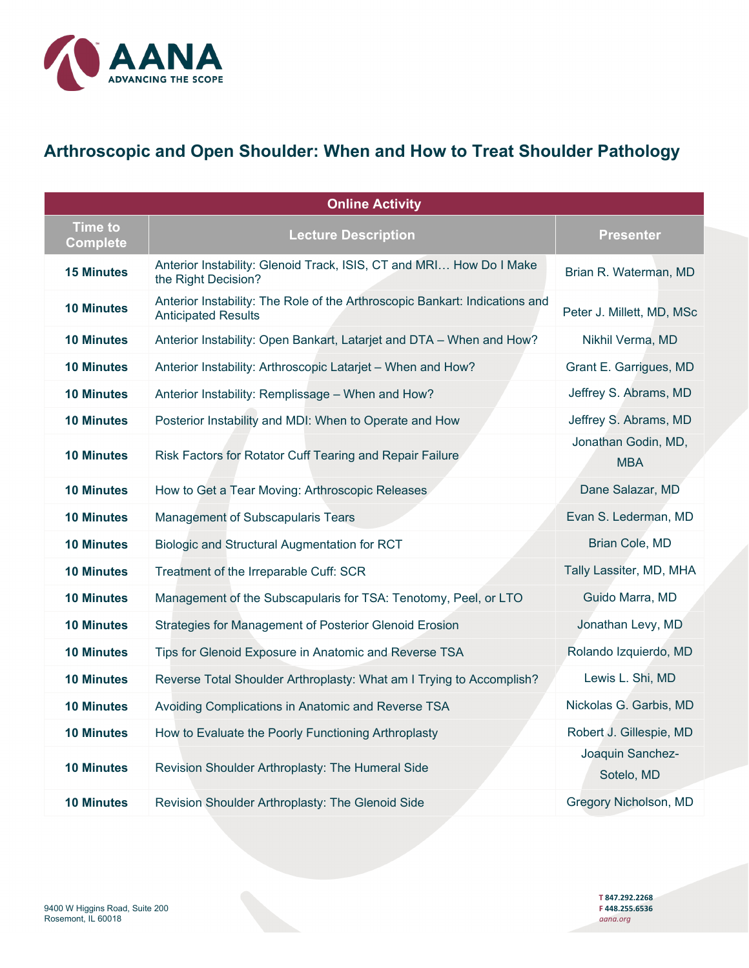

## **Arthroscopic and Open Shoulder: When and How to Treat Shoulder Pathology**

| <b>Online Activity</b>            |                                                                                                           |                                   |
|-----------------------------------|-----------------------------------------------------------------------------------------------------------|-----------------------------------|
| <b>Time to</b><br><b>Complete</b> | <b>Lecture Description</b>                                                                                | <b>Presenter</b>                  |
| <b>15 Minutes</b>                 | Anterior Instability: Glenoid Track, ISIS, CT and MRI How Do I Make<br>the Right Decision?                | Brian R. Waterman, MD             |
| <b>10 Minutes</b>                 | Anterior Instability: The Role of the Arthroscopic Bankart: Indications and<br><b>Anticipated Results</b> | Peter J. Millett, MD, MSc         |
| <b>10 Minutes</b>                 | Anterior Instability: Open Bankart, Latarjet and DTA - When and How?                                      | Nikhil Verma, MD                  |
| <b>10 Minutes</b>                 | Anterior Instability: Arthroscopic Latarjet - When and How?                                               | Grant E. Garrigues, MD            |
| <b>10 Minutes</b>                 | Anterior Instability: Remplissage - When and How?                                                         | Jeffrey S. Abrams, MD             |
| <b>10 Minutes</b>                 | Posterior Instability and MDI: When to Operate and How                                                    | Jeffrey S. Abrams, MD             |
| <b>10 Minutes</b>                 | Risk Factors for Rotator Cuff Tearing and Repair Failure                                                  | Jonathan Godin, MD,<br><b>MBA</b> |
| <b>10 Minutes</b>                 | How to Get a Tear Moving: Arthroscopic Releases                                                           | Dane Salazar, MD                  |
| <b>10 Minutes</b>                 | Management of Subscapularis Tears                                                                         | Evan S. Lederman, MD              |
| <b>10 Minutes</b>                 | Biologic and Structural Augmentation for RCT                                                              | Brian Cole, MD                    |
| <b>10 Minutes</b>                 | Treatment of the Irreparable Cuff: SCR                                                                    | Tally Lassiter, MD, MHA           |
| <b>10 Minutes</b>                 | Management of the Subscapularis for TSA: Tenotomy, Peel, or LTO                                           | Guido Marra, MD                   |
| <b>10 Minutes</b>                 | Strategies for Management of Posterior Glenoid Erosion                                                    | Jonathan Levy, MD                 |
| <b>10 Minutes</b>                 | Tips for Glenoid Exposure in Anatomic and Reverse TSA                                                     | Rolando Izquierdo, MD             |
| <b>10 Minutes</b>                 | Reverse Total Shoulder Arthroplasty: What am I Trying to Accomplish?                                      | Lewis L. Shi, MD                  |
| <b>10 Minutes</b>                 | Avoiding Complications in Anatomic and Reverse TSA                                                        | Nickolas G. Garbis, MD            |
| <b>10 Minutes</b>                 | How to Evaluate the Poorly Functioning Arthroplasty                                                       | Robert J. Gillespie, MD           |
| <b>10 Minutes</b>                 | Revision Shoulder Arthroplasty: The Humeral Side                                                          | Joaquin Sanchez-<br>Sotelo, MD    |
| <b>10 Minutes</b>                 | Revision Shoulder Arthroplasty: The Glenoid Side                                                          | Gregory Nicholson, MD             |